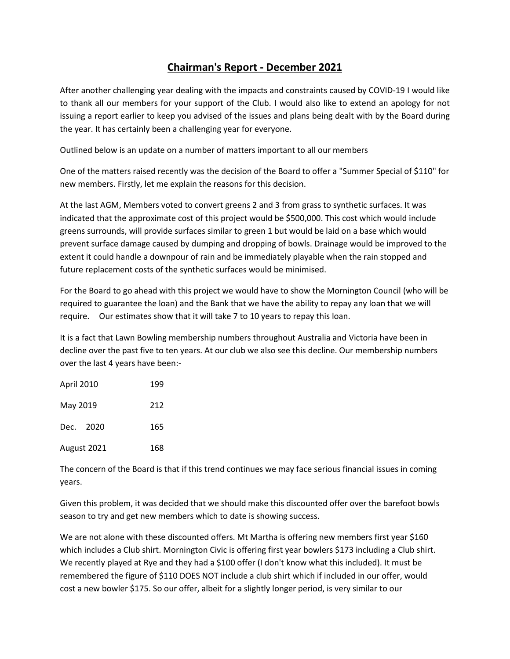## **Chairman's Report - December 2021**

After another challenging year dealing with the impacts and constraints caused by COVID-19 I would like to thank all our members for your support of the Club. I would also like to extend an apology for not issuing a report earlier to keep you advised of the issues and plans being dealt with by the Board during the year. It has certainly been a challenging year for everyone.

Outlined below is an update on a number of matters important to all our members

One of the matters raised recently was the decision of the Board to offer a "Summer Special of \$110" for new members. Firstly, let me explain the reasons for this decision.

At the last AGM, Members voted to convert greens 2 and 3 from grass to synthetic surfaces. It was indicated that the approximate cost of this project would be \$500,000. This cost which would include greens surrounds, will provide surfaces similar to green 1 but would be laid on a base which would prevent surface damage caused by dumping and dropping of bowls. Drainage would be improved to the extent it could handle a downpour of rain and be immediately playable when the rain stopped and future replacement costs of the synthetic surfaces would be minimised.

For the Board to go ahead with this project we would have to show the Mornington Council (who will be required to guarantee the loan) and the Bank that we have the ability to repay any loan that we will require. Our estimates show that it will take 7 to 10 years to repay this loan.

It is a fact that Lawn Bowling membership numbers throughout Australia and Victoria have been in decline over the past five to ten years. At our club we also see this decline. Our membership numbers over the last 4 years have been:-

| <b>April 2010</b> | 199 |
|-------------------|-----|
| May 2019          | 212 |
| Dec. 2020         | 165 |
| August 2021       | 168 |

The concern of the Board is that if this trend continues we may face serious financial issues in coming years.

Given this problem, it was decided that we should make this discounted offer over the barefoot bowls season to try and get new members which to date is showing success.

We are not alone with these discounted offers. Mt Martha is offering new members first year \$160 which includes a Club shirt. Mornington Civic is offering first year bowlers \$173 including a Club shirt. We recently played at Rye and they had a \$100 offer (I don't know what this included). It must be remembered the figure of \$110 DOES NOT include a club shirt which if included in our offer, would cost a new bowler \$175. So our offer, albeit for a slightly longer period, is very similar to our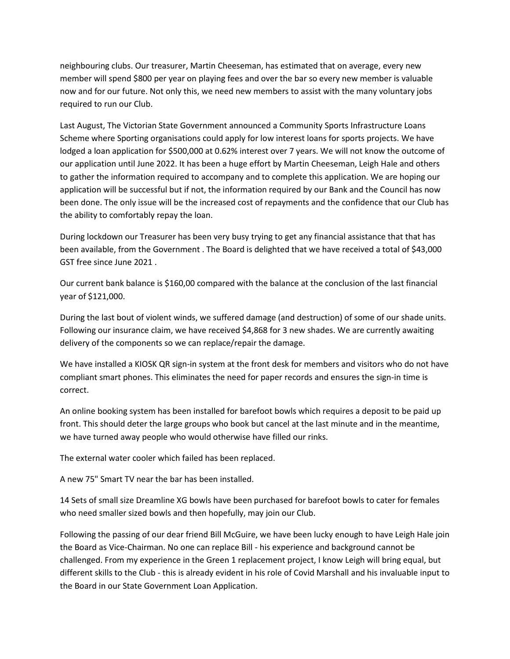neighbouring clubs. Our treasurer, Martin Cheeseman, has estimated that on average, every new member will spend \$800 per year on playing fees and over the bar so every new member is valuable now and for our future. Not only this, we need new members to assist with the many voluntary jobs required to run our Club.

Last August, The Victorian State Government announced a Community Sports Infrastructure Loans Scheme where Sporting organisations could apply for low interest loans for sports projects. We have lodged a loan application for \$500,000 at 0.62% interest over 7 years. We will not know the outcome of our application until June 2022. It has been a huge effort by Martin Cheeseman, Leigh Hale and others to gather the information required to accompany and to complete this application. We are hoping our application will be successful but if not, the information required by our Bank and the Council has now been done. The only issue will be the increased cost of repayments and the confidence that our Club has the ability to comfortably repay the loan.

During lockdown our Treasurer has been very busy trying to get any financial assistance that that has been available, from the Government . The Board is delighted that we have received a total of \$43,000 GST free since June 2021 .

Our current bank balance is \$160,00 compared with the balance at the conclusion of the last financial year of \$121,000.

During the last bout of violent winds, we suffered damage (and destruction) of some of our shade units. Following our insurance claim, we have received \$4,868 for 3 new shades. We are currently awaiting delivery of the components so we can replace/repair the damage.

We have installed a KIOSK QR sign-in system at the front desk for members and visitors who do not have compliant smart phones. This eliminates the need for paper records and ensures the sign-in time is correct.

An online booking system has been installed for barefoot bowls which requires a deposit to be paid up front. This should deter the large groups who book but cancel at the last minute and in the meantime, we have turned away people who would otherwise have filled our rinks.

The external water cooler which failed has been replaced.

A new 75" Smart TV near the bar has been installed.

14 Sets of small size Dreamline XG bowls have been purchased for barefoot bowls to cater for females who need smaller sized bowls and then hopefully, may join our Club.

Following the passing of our dear friend Bill McGuire, we have been lucky enough to have Leigh Hale join the Board as Vice-Chairman. No one can replace Bill - his experience and background cannot be challenged. From my experience in the Green 1 replacement project, I know Leigh will bring equal, but different skills to the Club - this is already evident in his role of Covid Marshall and his invaluable input to the Board in our State Government Loan Application.